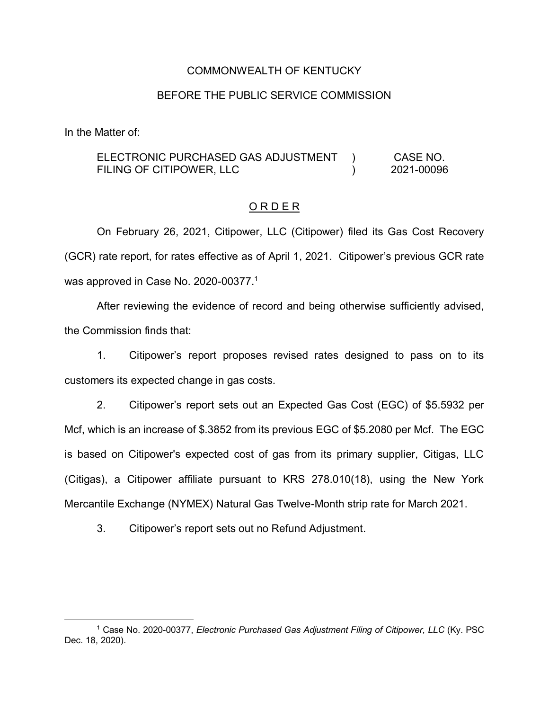## COMMONWEALTH OF KENTUCKY

### BEFORE THE PUBLIC SERVICE COMMISSION

In the Matter of:

#### ELECTRONIC PURCHASED GAS ADJUSTMENT FILING OF CITIPOWER, LLC  $\lambda$  $\lambda$ CASE NO. 2021-00096

## O R D E R

On February 26, 2021, Citipower, LLC (Citipower) filed its Gas Cost Recovery (GCR) rate report, for rates effective as of April 1, 2021. Citipower's previous GCR rate was approved in Case No. 2020-00377.<sup>1</sup>

After reviewing the evidence of record and being otherwise sufficiently advised, the Commission finds that:

1. Citipower's report proposes revised rates designed to pass on to its customers its expected change in gas costs.

2. Citipower's report sets out an Expected Gas Cost (EGC) of \$5.5932 per Mcf, which is an increase of \$.3852 from its previous EGC of \$5.2080 per Mcf. The EGC is based on Citipower's expected cost of gas from its primary supplier, Citigas, LLC (Citigas), a Citipower affiliate pursuant to KRS 278.010(18), using the New York Mercantile Exchange (NYMEX) Natural Gas Twelve-Month strip rate for March 2021.

3. Citipower's report sets out no Refund Adjustment.

 <sup>1</sup> Case No. 2020-00377, *Electronic Purchased Gas Adjustment Filing of Citipower, LLC* (Ky. PSC Dec. 18, 2020).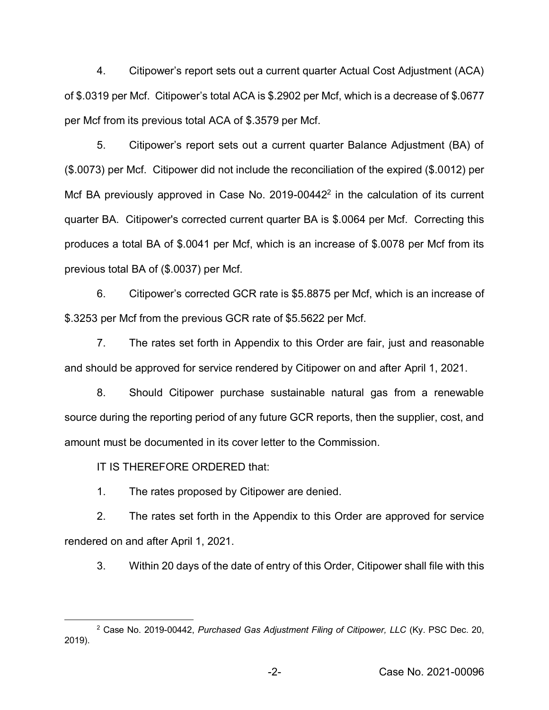4. Citipower's report sets out a current quarter Actual Cost Adjustment (ACA) of \$.0319 per Mcf. Citipower's total ACA is \$.2902 per Mcf, which is a decrease of \$.0677 per Mcf from its previous total ACA of \$.3579 per Mcf.

5. Citipower's report sets out a current quarter Balance Adjustment (BA) of (\$.0073) per Mcf. Citipower did not include the reconciliation of the expired (\$.0012) per Mcf BA previously approved in Case No. 2019-00442<sup>2</sup> in the calculation of its current quarter BA. Citipower's corrected current quarter BA is \$.0064 per Mcf. Correcting this produces a total BA of \$.0041 per Mcf, which is an increase of \$.0078 per Mcf from its previous total BA of (\$.0037) per Mcf.

6. Citipower's corrected GCR rate is \$5.8875 per Mcf, which is an increase of \$.3253 per Mcf from the previous GCR rate of \$5.5622 per Mcf.

7. The rates set forth in Appendix to this Order are fair, just and reasonable and should be approved for service rendered by Citipower on and after April 1, 2021.

8. Should Citipower purchase sustainable natural gas from a renewable source during the reporting period of any future GCR reports, then the supplier, cost, and amount must be documented in its cover letter to the Commission.

IT IS THEREFORE ORDERED that:

1. The rates proposed by Citipower are denied.

2. The rates set forth in the Appendix to this Order are approved for service rendered on and after April 1, 2021.

3. Within 20 days of the date of entry of this Order, Citipower shall file with this

 <sup>2</sup> Case No. 2019-00442, *Purchased Gas Adjustment Filing of Citipower, LLC* (Ky. PSC Dec. 20, 2019).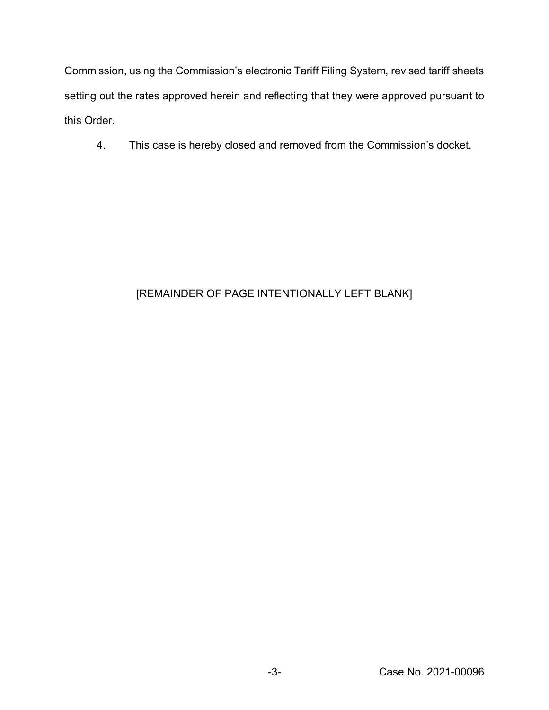Commission, using the Commission's electronic Tariff Filing System, revised tariff sheets setting out the rates approved herein and reflecting that they were approved pursuant to this Order.

4. This case is hereby closed and removed from the Commission's docket.

# [REMAINDER OF PAGE INTENTIONALLY LEFT BLANK]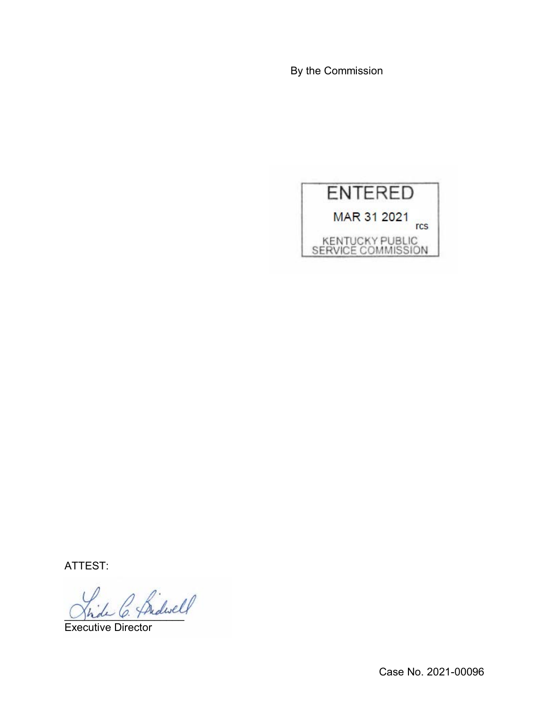By the Commission



ATTEST:

C. Bidwell

Executive Director

Case No. 2021-00096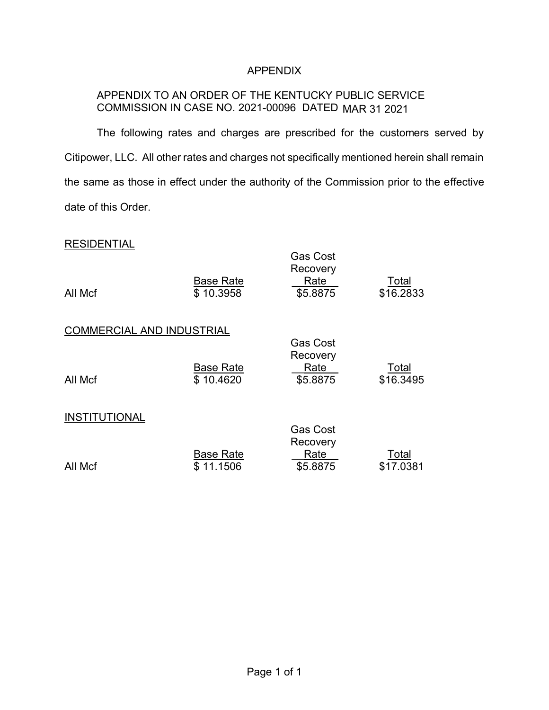# APPENDIX

# APPENDIX TO AN ORDER OF THE KENTUCKY PUBLIC SERVICE COMMISSION IN CASE NO. 2021-00096 DATED MAR 31 2021

The following rates and charges are prescribed for the customers served by Citipower, LLC. All other rates and charges not specifically mentioned herein shall remain the same as those in effect under the authority of the Commission prior to the effective date of this Order.

## **RESIDENTIAL**

| All Mcf                          | <b>Base Rate</b><br>\$10.3958 | <b>Gas Cost</b><br>Recovery<br>Rate<br>\$5.8875 | Total<br>\$16.2833 |
|----------------------------------|-------------------------------|-------------------------------------------------|--------------------|
| <b>COMMERCIAL AND INDUSTRIAL</b> |                               | <b>Gas Cost</b>                                 |                    |
| All Mcf                          | <b>Base Rate</b><br>\$10.4620 | Recovery<br>Rate<br>\$5.8875                    | Total<br>\$16.3495 |
| <b>INSTITUTIONAL</b>             |                               | <b>Gas Cost</b><br>Recovery                     |                    |
| All Mcf                          | <b>Base Rate</b><br>\$11.1506 | Rate<br>\$5.8875                                | Total<br>\$17.0381 |